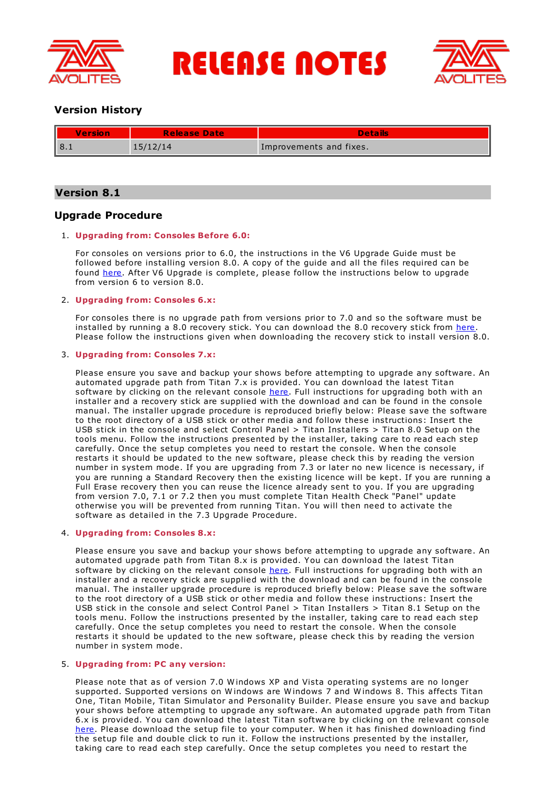

**RELEASE NOTES** 



# **Version History**

| <b>Version</b> | <b>Release Date</b> | <b>Details</b>          |
|----------------|---------------------|-------------------------|
| $\sqrt{8.1}$   | 15/12/14            | Improvements and fixes. |

# **Version 8.1**

# **Upgrade Procedure**

# 1. **Upgrading from: Consoles Before 6.0:**

For consoles on versions prior to 6.0, the instructions in the V6 Upgrade Guide must be followed before installing version 8.0. A copy of the guide and all the files required can be found [here](http://www.avolites.com/V6Upgrade). After V6 Upgrade is complete, please follow the instructions below to upgrade from version 6 to version 8.0.

## 2. **Upgrading from: Consoles 6.x:**

For consoles there is no upgrade path from versions prior to 7.0 and so the software must be installed by running a 8.0 recovery stick. You can download the 8.0 recovery stick from [here](http://www.avolites.com/software/latest-version). Please follow the instructions given when downloading the recovery stick to install version 8.0.

## 3. **Upgrading from: Consoles 7.x:**

Please ensure you save and backup your shows before attempting to upgrade any software. An automated upgrade path from Titan 7.x is provided. You can download the latest Titan software by clicking on the relevant console [here](http://www.avolites.com/software/latest-version). Full instructions for upgrading both with an installer and a recovery stick are supplied with the download and can be found in the console manual. The installer upgrade procedure is reproduced briefly below: Please save the software to the root directory of a USB stick or other media and follow these instructions: Insert the USB stick in the console and select Control Panel > Titan Installers > Titan 8.0 Setup on the tools menu. Follow the instructions presented by the installer, taking care to read each step carefully. Once the setup completes you need to restart the console. W hen the console restarts it should be updated to the new software, please check this by reading the version number in system mode. If you are upgrading from 7.3 or later no new licence is necessary, if you are running a Standard Recovery then the existing licence will be kept. If you are running a Full Erase recovery then you can reuse the licence already sent to you. If you are upgrading from version 7.0, 7.1 or 7.2 then you must complete Titan Health Check "Panel" update otherwise you will be prevented from running Titan. You will then need to activate the software as detailed in the 7.3 Upgrade Procedure.

### 4. **Upgrading from: Consoles 8.x:**

Please ensure you save and backup your shows before attempting to upgrade any software. An automated upgrade path from Titan 8.x is provided. You can download the latest Titan software by clicking on the relevant console [here](http://www.avolites.com/software/latest-version). Full instructions for upgrading both with an installer and a recovery stick are supplied with the download and can be found in the console manual. The installer upgrade procedure is reproduced briefly below: Please save the software to the root directory of a USB stick or other media and follow these instructions: Insert the USB stick in the console and select Control Panel > Titan Installers > Titan 8.1 Setup on the tools menu. Follow the instructions presented by the installer, taking care to read each step carefully. Once the setup completes you need to restart the console. W hen the console restarts it should be updated to the new software, please check this by reading the version number in system mode.

### 5. **Upgrading from: PC any version:**

Please note that as of version 7.0 W indows XP and Vista operating systems are no longer supported. Supported versions on W indows are W indows 7 and W indows 8. This affects Titan One, Titan Mobile, Titan Simulator and Personality Builder. Please ensure you save and backup your shows before attempting to upgrade any software. An automated upgrade path from Titan 6.x is provided. You can download the latest Titan software by clicking on the relevant console [here](http://www.avolites.com/software/latest-version). Please download the setup file to your computer. When it has finished downloading find the setup file and double click to run it. Follow the instructions presented by the installer, taking care to read each step carefully. Once the setup completes you need to restart the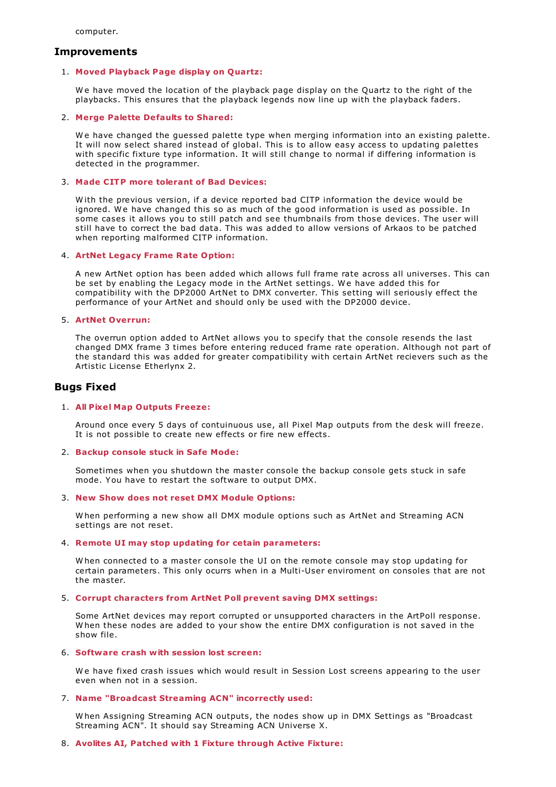computer.

### **Improvements**

### 1. **Moved Playback Page display on Quartz:**

W e have moved the location of the playback page display on the Quartz to the right of the playbacks. This ensures that the playback legends now line up with the playback faders.

### 2. **Merge Palette Defaults to Shared:**

We have changed the guessed palette type when merging information into an existing palette. It will now select shared instead of global. This is to allow easy access to updating palettes with specific fixture type information. It will still change to normal if differing information is detected in the programmer.

### 3. **Made CITP more tolerant of Bad Devices:**

W ith the previous version, if a device reported bad CITP information the device would be ignored. We have changed this so as much of the good information is used as possible. In some cases it allows you to still patch and see thumbnails from those devices. The user will still have to correct the bad data. This was added to allow versions of Arkaos to be patched when reporting malformed CITP information.

### 4. **ArtNet Legacy Frame Rate Option:**

A new ArtNet option has been added which allows full frame rate across all universes. This can be set by enabling the Legacy mode in the ArtNet settings. We have added this for compatibility with the DP2000 ArtNet to DMX converter. This setting will seriously effect the performance of your ArtNet and should only be used with the DP2000 device.

### 5. **ArtNet Overrun:**

The overrun option added to ArtNet allows you to specify that the console resends the last changed DMX frame 3 times before entering reduced frame rate operation. Although not part of the standard this was added for greater compatibility with certain ArtNet recievers such as the Artistic License Etherlynx 2.

## **Bugs Fixed**

#### 1. **All Pixel Map Outputs Freeze:**

Around once every 5 days of contuinuous use, all Pixel Map outputs from the desk will freeze. It is not possible to create new effects or fire new effects.

#### 2. **Backup console stuck in Safe Mode:**

Sometimes when you shutdown the master console the backup console gets stuck in safe mode. You have to restart the software to output DMX.

#### 3. **New Show does not reset DMX Module Options:**

W hen performing a new show all DMX module options such as ArtNet and Streaming ACN settings are not reset.

### 4. **Remote UI may stop updating for cetain parameters:**

W hen connected to a master console the UI on the remote console may stop updating for certain parameters. This only ocurrs when in a Multi-User enviroment on consoles that are not the master.

#### 5. **Corrupt characters from ArtNet Poll prevent saving DMX settings:**

Some ArtNet devices may report corrupted or unsupported characters in the ArtPoll response.<br>W hen these nodes are added to your show the entire DMX configuration is not saved in the show file.

#### 6. **Software crash with session lost screen:**

We have fixed crash issues which would result in Session Lost screens appearing to the user even when not in a session.

### 7. **Name "Broadcast Streaming ACN" incorrectly used:**

W hen Assigning Streaming ACN outputs, the nodes show up in DMX Settings as "Broadcast Streaming ACN". It should say Streaming ACN Universe X.

### 8. **Avolites AI, Patched with 1 Fixture through Active Fixture:**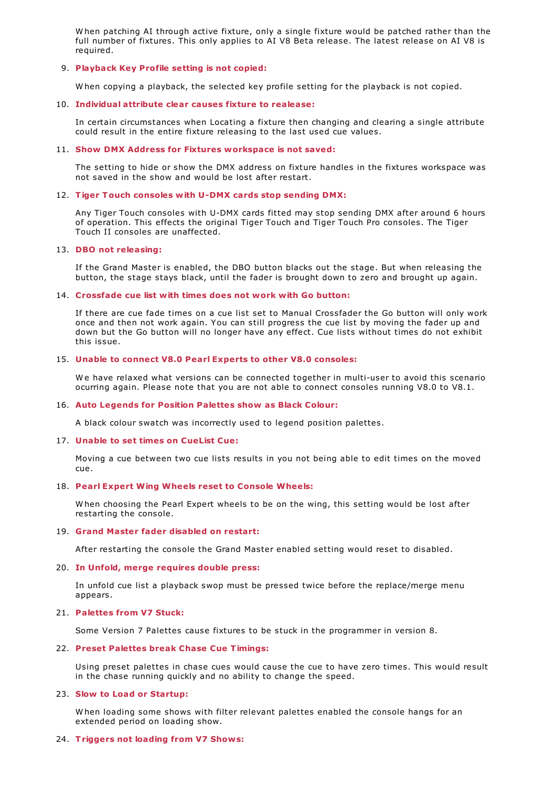W hen patching AI through active fixture, only a single fixture would be patched rather than the full number of fixtures. This only applies to AI V8 Beta release. The latest release on AI V8 is required.

### 9. **Playback Key Profile setting is not copied:**

W hen copying a playback, the selected key profile setting for the playback is not copied.

#### 10. **Individual attribute clear causes fixture to realease:**

In certain circumstances when Locating a fixture then changing and clearing a single attribute could result in the entire fixture releasing to the last used cue values.

### 11. **Show DMX Address for Fixtures workspace is not saved:**

The setting to hide or show the DMX address on fixture handles in the fixtures workspace was not saved in the show and would be lost after restart.

#### 12. **Tiger Touch consoles with U-DMX cards stop sending DMX:**

Any Tiger Touch consoles with U-DMX cards fitted may stop sending DMX after around 6 hours of operation. This effects the original Tiger Touch and Tiger Touch Pro consoles. The Tiger Touch II consoles are unaffected.

### 13. **DBO not releasing:**

If the Grand Master is enabled, the DBO button blacks out the stage. But when releasing the button, the stage stays black, until the fader is brought down to zero and brought up again.

#### 14. **Crossfade cue list with times does not work with Go button:**

If there are cue fade times on a cue list set to Manual Crossfader the Go button will only work once and then not work again. You can still progress the cue list by moving the fader up and down but the Go button will no longer have any effect. Cue lists without times do not exhibit this issue.

### 15. **Unable to connect V8.0 Pearl Experts to other V8.0 consoles:**

W e have relaxed what versions can be connected together in multi-user to avoid this scenario ocurring again. Please note that you are not able to connect consoles running V8.0 to V8.1.

### 16. **Auto Legends for Position Palettes show as Black Colour:**

A black colour swatch was incorrectly used to legend position palettes.

#### 17. **Unable to set times on CueList Cue:**

Moving a cue between two cue lists results in you not being able to edit times on the moved cue.

### 18. **Pearl Expert Wing Wheels reset to Console Wheels:**

W hen choosing the Pearl Expert wheels to be on the wing, this setting would be lost after restarting the console.

#### 19. **Grand Master fader disabled on restart:**

After restarting the console the Grand Master enabled setting would reset to disabled.

#### 20. **In Unfold, merge requires double press:**

In unfold cue list a playback swop must be pressed twice before the replace/merge menu appears.

#### 21. **Palettes from V7 Stuck:**

Some Version 7 Palettes cause fixtures to be stuck in the programmer in version 8.

### 22. **Preset Palettes break Chase Cue Timings:**

Using preset palettes in chase cues would cause the cue to have zero times. This would result in the chase running quickly and no ability to change the speed.

#### 23. **Slow to Load or Startup:**

W hen loading some shows with filter relevant palettes enabled the console hangs for an extended period on loading show.

#### 24. **Triggers not loading from V7 Shows:**